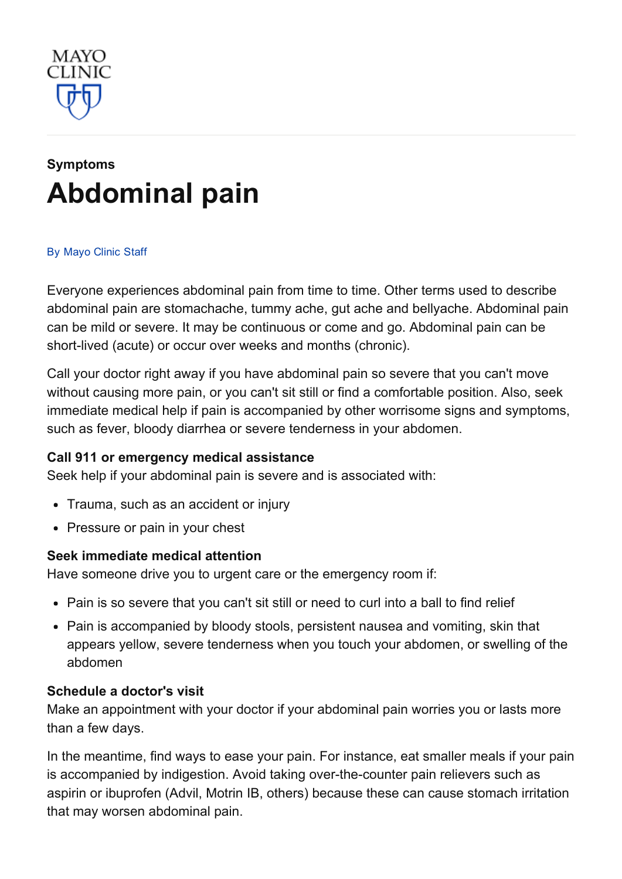

# [Symptoms](http://www.mayoclinic.org/symptoms) [Abdominal](http://www.mayoclinic.org/symptoms/abdominal-pain/basics/definition/sym-20050728) pain

#### By [Mayo](http://www.mayoclinic.org/about-this-site/welcome) Clinic Staff

Everyone experiences abdominal pain from time to time. Other terms used to describe abdominal pain are stomachache, tummy ache, gut ache and bellyache. Abdominal pain can be mild or severe. It may be continuous or come and go. Abdominal pain can be short-lived (acute) or occur over weeks and months (chronic).

Call your doctor right away if you have abdominal pain so severe that you can't move without causing more pain, or you can't sit still or find a comfortable position. Also, seek immediate medical help if pain is accompanied by other worrisome signs and symptoms, such as fever, bloody diarrhea or severe tenderness in your abdomen.

## Call 911 or emergency medical assistance

Seek help if your abdominal pain is severe and is associated with:

- Trauma, such as an accident or injury
- Pressure or pain in your chest

## Seek immediate medical attention

Have someone drive you to urgent care or the emergency room if:

- Pain is so severe that you can't sit still or need to curl into a ball to find relief
- Pain is accompanied by bloody stools, persistent nausea and vomiting, skin that appears yellow, severe tenderness when you touch your abdomen, or swelling of the abdomen

#### Schedule a doctor's visit

Make an appointment with your doctor if your abdominal pain worries you or lasts more than a few days.

In the meantime, find ways to ease your pain. For instance, eat smaller meals if your pain is accompanied by indigestion. Avoid taking over-the-counter pain relievers such as aspirin or ibuprofen (Advil, Motrin IB, others) because these can cause stomach irritation that may worsen abdominal pain.